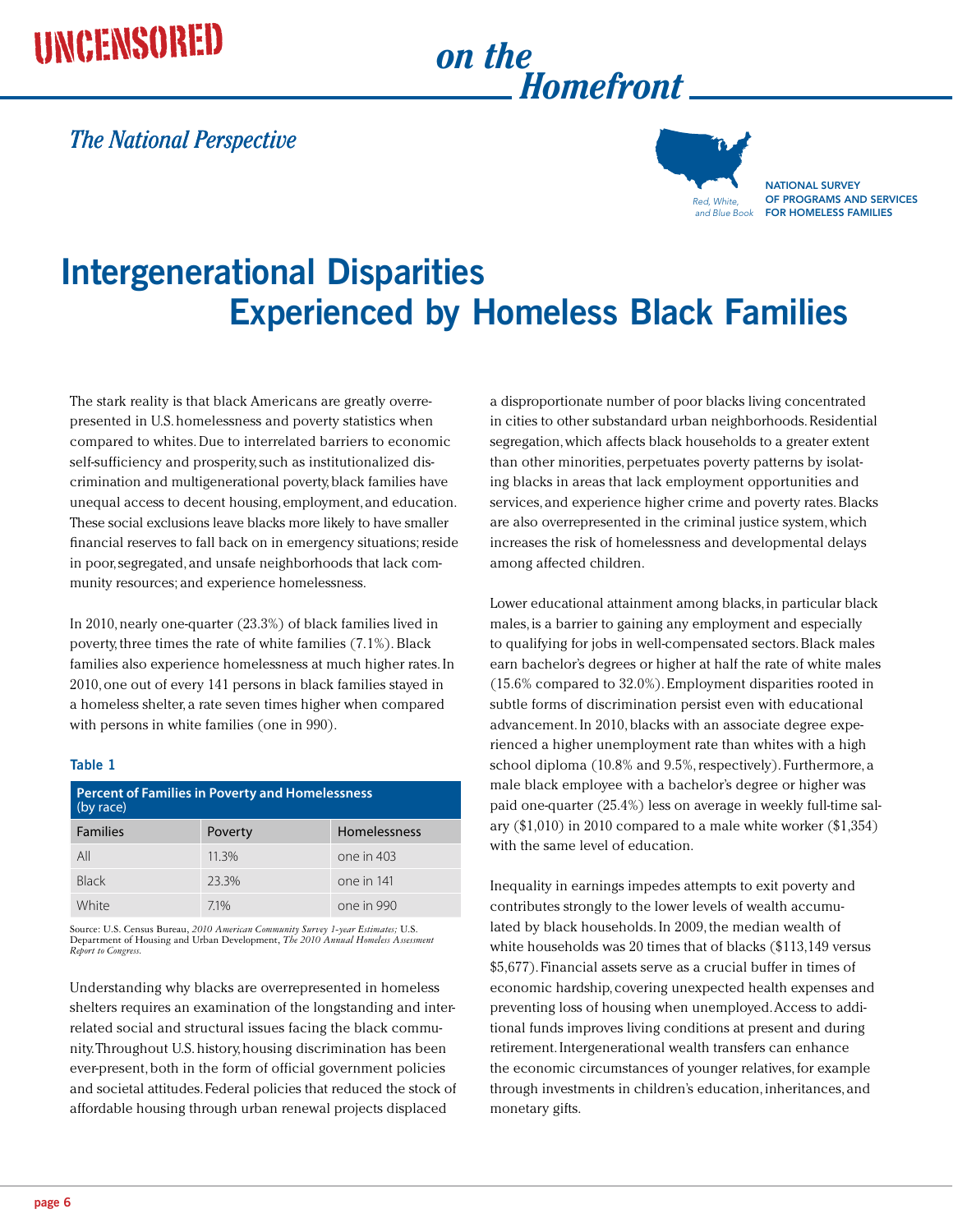## UNCENSORED on the

# *Homefront*

#### *The National Perspective*



NATIONAL SURVEY of Programs and Services for Homeless Families

### **Intergenerational Disparities Experienced by Homeless Black Families**

The stark reality is that black Americans are greatly overrepresented in U.S. homelessness and poverty statistics when compared to whites. Due to interrelated barriers to economic self-sufficiency and prosperity, such as institutionalized discrimination and multigenerational poverty, black families have unequal access to decent housing, employment, and education. These social exclusions leave blacks more likely to have smaller financial reserves to fall back on in emergency situations; reside in poor, segregated, and unsafe neighborhoods that lack community resources; and experience homelessness.

In 2010, nearly one-quarter (23.3%) of black families lived in poverty, three times the rate of white families (7.1%). Black families also experience homelessness at much higher rates. In 2010, one out of every 141 persons in black families stayed in a homeless shelter, a rate seven times higher when compared with persons in white families (one in 990).

#### **Table 1**

| <b>Percent of Families in Poverty and Homelessness</b><br>(by race) |         |              |
|---------------------------------------------------------------------|---------|--------------|
| <b>Families</b>                                                     | Poverty | Homelessness |
| All                                                                 | 11.3%   | one in 403   |
| <b>Black</b>                                                        | 233%    | one in 141   |
| White                                                               | 71%     | one in 990   |

Source: U.S. Census Bureau, *2010 American Community Survey 1-year Estimates;* U.S. Department of Housing and Urban Development, *The 2010 Annual Homeless Assessment Report to Congress.*

Understanding why blacks are overrepresented in homeless shelters requires an examination of the longstanding and interrelated social and structural issues facing the black community. Throughout U.S. history, housing discrimination has been ever-present, both in the form of official government policies and societal attitudes. Federal policies that reduced the stock of affordable housing through urban renewal projects displaced

a disproportionate number of poor blacks living concentrated in cities to other substandard urban neighborhoods. Residential segregation, which affects black households to a greater extent than other minorities, perpetuates poverty patterns by isolating blacks in areas that lack employment opportunities and services, and experience higher crime and poverty rates. Blacks are also overrepresented in the criminal justice system, which increases the risk of homelessness and developmental delays among affected children.

Lower educational attainment among blacks, in particular black males, is a barrier to gaining any employment and especially to qualifying for jobs in well-compensated sectors. Black males earn bachelor's degrees or higher at half the rate of white males (15.6% compared to 32.0%). Employment disparities rooted in subtle forms of discrimination persist even with educational advancement. In 2010, blacks with an associate degree experienced a higher unemployment rate than whites with a high school diploma (10.8% and 9.5%, respectively). Furthermore, a male black employee with a bachelor's degree or higher was paid one-quarter (25.4%) less on average in weekly full-time salary (\$1,010) in 2010 compared to a male white worker (\$1,354) with the same level of education.

Inequality in earnings impedes attempts to exit poverty and contributes strongly to the lower levels of wealth accumulated by black households. In 2009, the median wealth of white households was 20 times that of blacks (\$113,149 versus \$5,677). Financial assets serve as a crucial buffer in times of economic hardship, covering unexpected health expenses and preventing loss of housing when unemployed. Access to additional funds improves living conditions at present and during retirement. Intergenerational wealth transfers can enhance the economic circumstances of younger relatives, for example through investments in children's education, inheritances, and monetary gifts.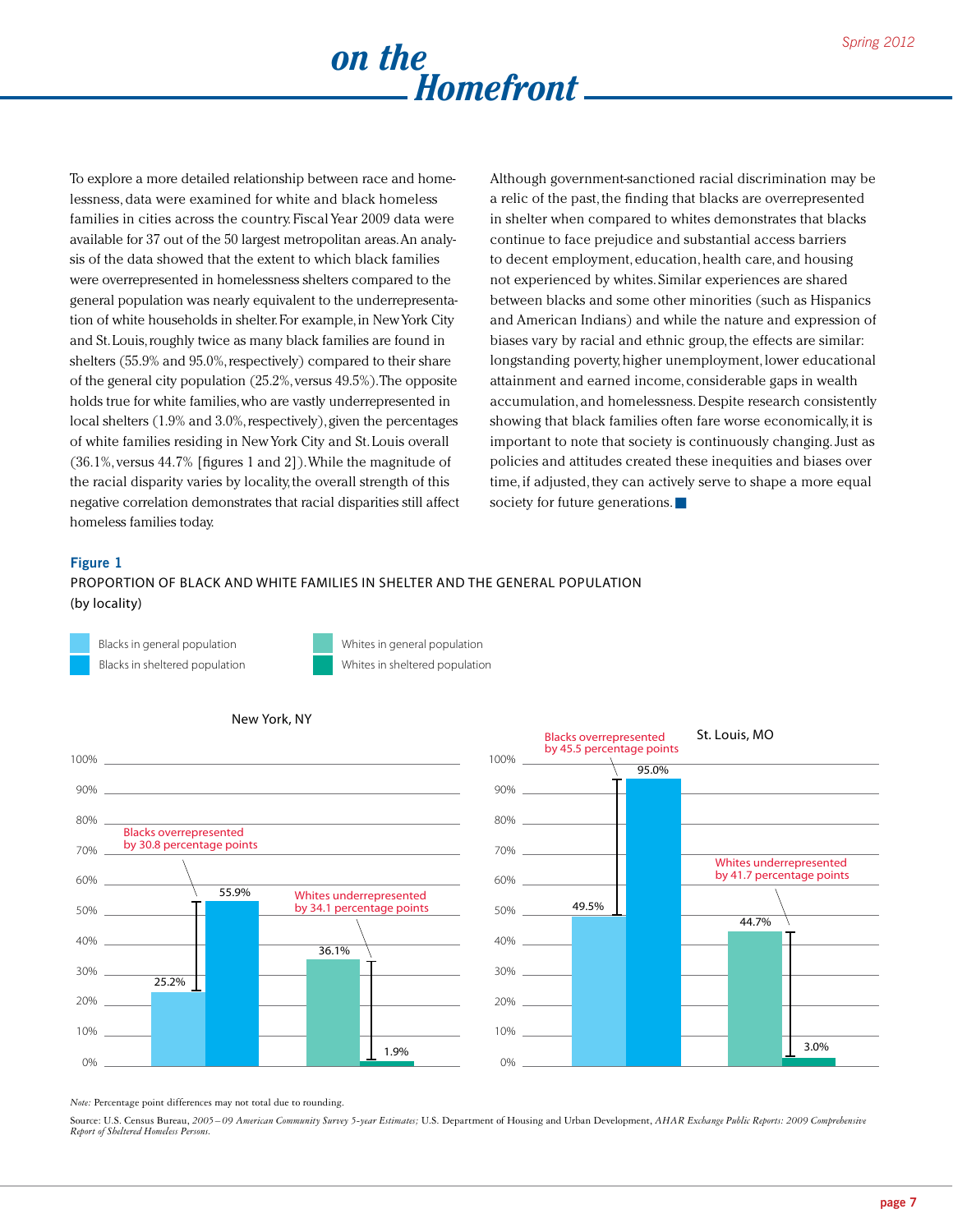

To explore a more detailed relationship between race and homelessness, data were examined for white and black homeless families in cities across the country. Fiscal Year 2009 data were available for 37 out of the 50 largest metropolitan areas. An analysis of the data showed that the extent to which black families were overrepresented in homelessness shelters compared to the general population was nearly equivalent to the underrepresentation of white households in shelter. For example, in New York City and St. Louis, roughly twice as many black families are found in shelters (55.9% and 95.0%, respectively) compared to their share of the general city population (25.2%, versus 49.5%). The opposite holds true for white families, who are vastly underrepresented in local shelters (1.9% and 3.0%, respectively), given the percentages of white families residing in New York City and St. Louis overall (36.1%, versus 44.7% [figures 1 and 2]). While the magnitude of the racial disparity varies by locality, the overall strength of this negative correlation demonstrates that racial disparities still affect homeless families today.

Although government-sanctioned racial discrimination may be a relic of the past, the finding that blacks are overrepresented in shelter when compared to whites demonstrates that blacks continue to face prejudice and substantial access barriers to decent employment, education, health care, and housing not experienced by whites. Similar experiences are shared between blacks and some other minorities (such as Hispanics and American Indians) and while the nature and expression of biases vary by racial and ethnic group, the effects are similar: longstanding poverty, higher unemployment, lower educational attainment and earned income, considerable gaps in wealth accumulation, and homelessness. Despite research consistently showing that black families often fare worse economically, it is important to note that society is continuously changing. Just as policies and attitudes created these inequities and biases over time, if adjusted, they can actively serve to shape a more equal society for future generations.

#### **Figure 1**

Proportion of Black and White Families in Shelter and the General Population (by locality)







#### New York, NY

*Note:* Percentage point differences may not total due to rounding.

Source: U.S. Census Bureau, *2005– 09 American Community Survey 5-year Estimates;* U.S. Department of Housing and Urban Development, *AHAR Exchange Public Reports: 2009 Comprehensive Report of Sheltered Homeless Persons.*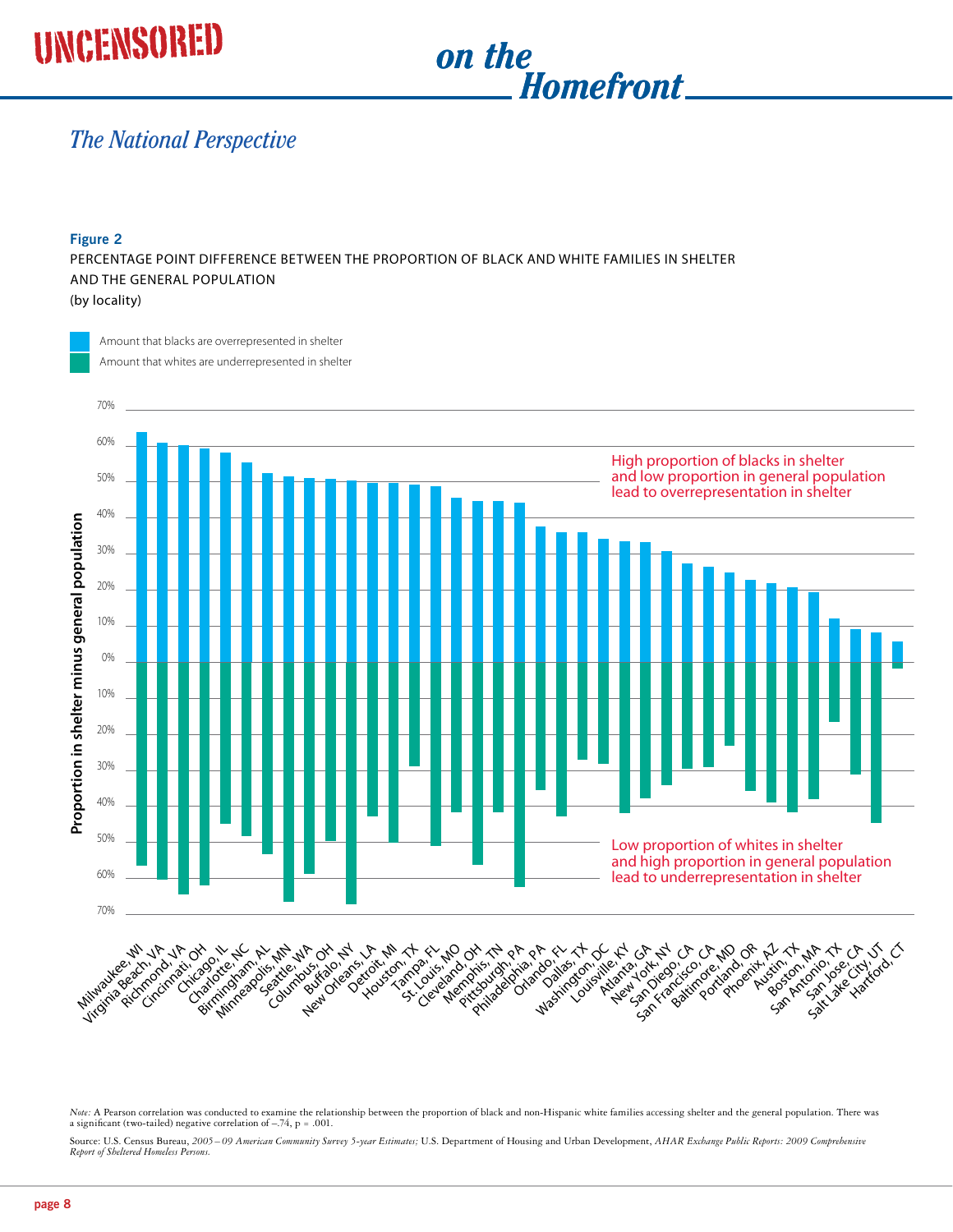# UNCENSORED on the



#### *The National Perspective*  $\frac{1}{2}$  $\overline{\phantom{a}}$ richa<sub>m</sub> cinati, O  $\frac{1}{2}$ Charlotte, NC  $\frac{1}{2}$  $\mathfrak{c}$ ,  $\mathfrak{c}$   $\mathfrak{p}$   $\mathfrak{c}$ peed.  $\overline{\phantom{a}}$  $\frac{1}{2}$  $\overline{\phantom{a}}$

#### **Figure 2**

Percentage Point Difference Between the Proportion of Black and White Families in Shelter and the General Population (by locality)

Amount that blacks are overrepresented in shelter Amount that whites are underrepresented in shelter



*Note:* A Pearson correlation was conducted to examine the relationship between the proportion of black and non-Hispanic white families accessing shelter and the general population. There was a significant (two-tailed) negative correlation of  $-.74$ , p = .001.

Source: U.S. Census Bureau, *2005– 09 American Community Survey 5-year Estimates;* U.S. Department of Housing and Urban Development, *AHAR Exchange Public Reports: 2009 Comprehensive Report of Sheltered Homeless Persons.*